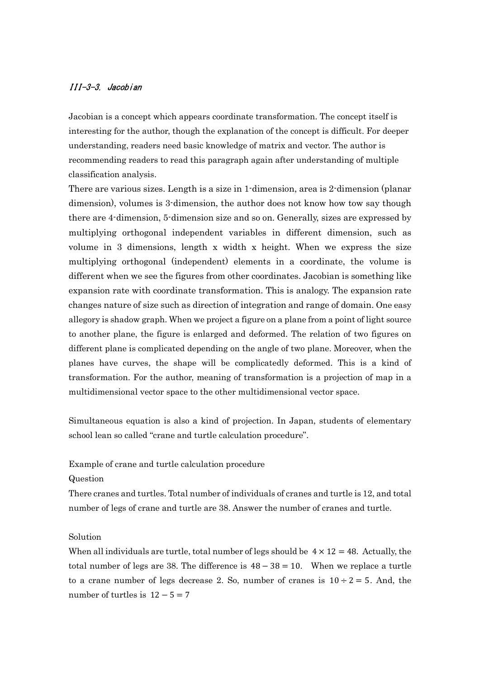## III-3-3. Jacobian

Jacobian is a concept which appears coordinate transformation. The concept itself is interesting for the author, though the explanation of the concept is difficult. For deeper understanding, readers need basic knowledge of matrix and vector. The author is recommending readers to read this paragraph again after understanding of multiple classification analysis.

There are various sizes. Length is a size in 1-dimension, area is 2-dimension (planar dimension), volumes is 3-dimension, the author does not know how tow say though there are 4-dimension, 5-dimension size and so on. Generally, sizes are expressed by multiplying orthogonal independent variables in different dimension, such as volume in 3 dimensions, length x width x height. When we express the size multiplying orthogonal (independent) elements in a coordinate, the volume is different when we see the figures from other coordinates. Jacobian is something like expansion rate with coordinate transformation. This is analogy. The expansion rate changes nature of size such as direction of integration and range of domain. One easy allegory is shadow graph. When we project a figure on a plane from a point of light source to another plane, the figure is enlarged and deformed. The relation of two figures on different plane is complicated depending on the angle of two plane. Moreover, when the planes have curves, the shape will be complicatedly deformed. This is a kind of transformation. For the author, meaning of transformation is a projection of map in a multidimensional vector space to the other multidimensional vector space.

Simultaneous equation is also a kind of projection. In Japan, students of elementary school lean so called "crane and turtle calculation procedure".

Example of crane and turtle calculation procedure

## Question

There cranes and turtles. Total number of individuals of cranes and turtle is 12, and total number of legs of crane and turtle are 38. Answer the number of cranes and turtle.

## Solution

When all individuals are turtle, total number of legs should be  $4 \times 12 = 48$ . Actually, the total number of legs are 38. The difference is  $48 - 38 = 10$ . When we replace a turtle to a crane number of legs decrease 2. So, number of cranes is  $10 \div 2 = 5$ . And, the number of turtles is  $12 - 5 = 7$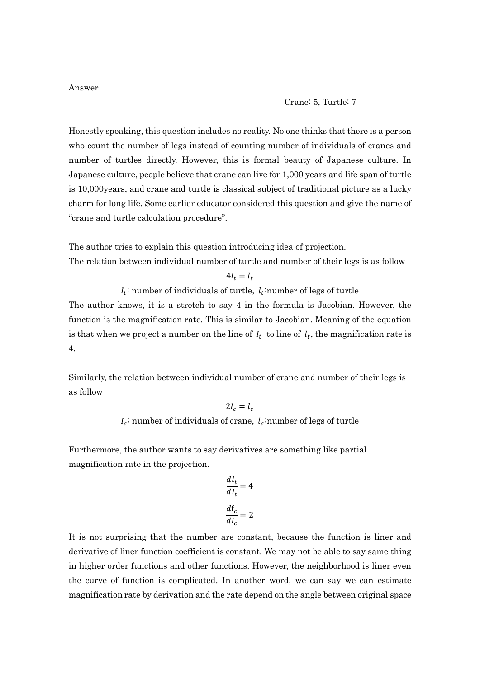## Crane: 5, Turtle: 7

Honestly speaking, this question includes no reality. No one thinks that there is a person who count the number of legs instead of counting number of individuals of cranes and number of turtles directly. However, this is formal beauty of Japanese culture. In Japanese culture, people believe that crane can live for 1,000 years and life span of turtle is 10,000years, and crane and turtle is classical subject of traditional picture as a lucky charm for long life. Some earlier educator considered this question and give the name of "crane and turtle calculation procedure".

The author tries to explain this question introducing idea of projection. The relation between individual number of turtle and number of their legs is as follow

 $4I_t = l_t$ 

 $I_t$ : number of individuals of turtle,  $I_t$ : number of legs of turtle

The author knows, it is a stretch to say 4 in the formula is Jacobian. However, the function is the magnification rate. This is similar to Jacobian. Meaning of the equation is that when we project a number on the line of  $I_t$  to line of  $I_t$ , the magnification rate is 4.

Similarly, the relation between individual number of crane and number of their legs is as follow

$$
2I_c = l_c
$$

 $I_c$ : number of individuals of crane,  $I_c$ : number of legs of turtle

Furthermore, the author wants to say derivatives are something like partial magnification rate in the projection.

$$
\frac{dl_t}{dl_t} = 4
$$

$$
\frac{d f_c}{d I_c} = 2
$$

It is not surprising that the number are constant, because the function is liner and derivative of liner function coefficient is constant. We may not be able to say same thing in higher order functions and other functions. However, the neighborhood is liner even the curve of function is complicated. In another word, we can say we can estimate magnification rate by derivation and the rate depend on the angle between original space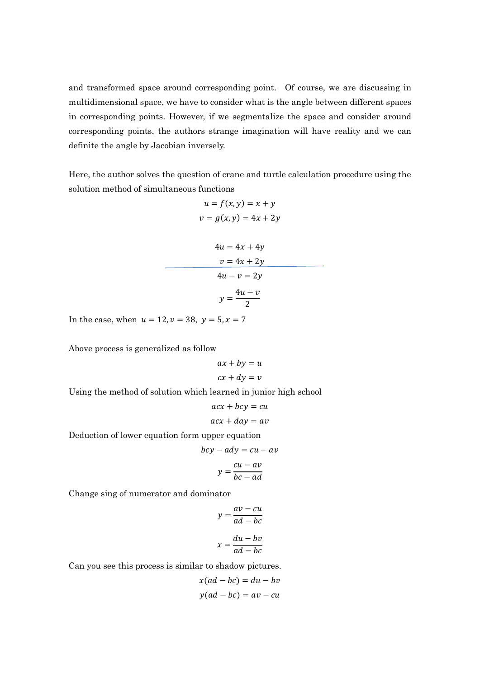and transformed space around corresponding point. Of course, we are discussing in multidimensional space, we have to consider what is the angle between different spaces in corresponding points. However, if we segmentalize the space and consider around corresponding points, the authors strange imagination will have reality and we can definite the angle by Jacobian inversely.

Here, the author solves the question of crane and turtle calculation procedure using the solution method of simultaneous functions

$$
u = f(x, y) = x + y
$$
  

$$
v = g(x, y) = 4x + 2y
$$

$$
4u = 4x + 4y
$$
  

$$
v = 4x + 2y
$$
  

$$
4u - v = 2y
$$
  

$$
y = \frac{4u - v}{2}
$$

In the case, when  $u = 12, v = 38, y = 5, x = 7$ 

Above process is generalized as follow

$$
ax + by = u
$$

$$
cx + dy = v
$$

Using the method of solution which learned in junior high school

$$
acx + bcy = cu
$$

$$
acx + day = av
$$

Deduction of lower equation form upper equation

$$
bcy - ady = cu - av
$$

$$
y = \frac{cu - av}{bc - ad}
$$

Change sing of numerator and dominator

$$
y = \frac{av - cu}{ad - bc}
$$

$$
x = \frac{du - bv}{ad - bc}
$$

Can you see this process is similar to shadow pictures.

$$
x(ad - bc) = du - bv
$$

$$
y(ad - bc) = av - cu
$$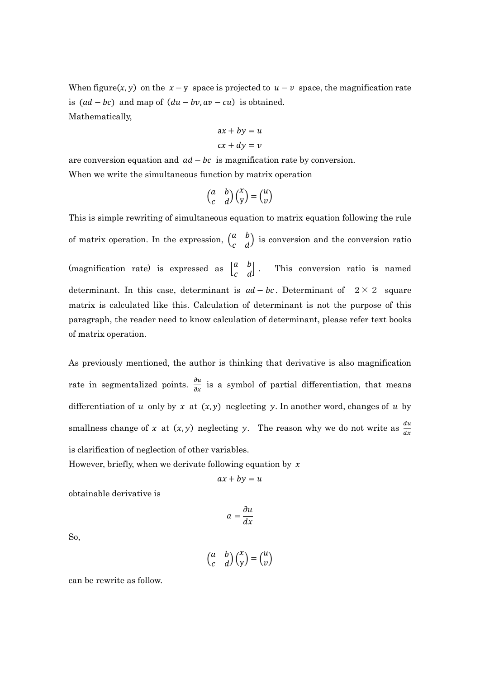When figure(x, y) on the  $x - y$  space is projected to  $u - v$  space, the magnification rate is  $(ad - bc)$  and map of  $(du - bv, av - cu)$  is obtained. Mathematically,

$$
ax + by = u
$$

$$
cx + dy = v
$$

are conversion equation and  $ad - bc$  is magnification rate by conversion. When we write the simultaneous function by matrix operation

$$
\begin{pmatrix} a & b \\ c & d \end{pmatrix} \begin{pmatrix} x \\ y \end{pmatrix} = \begin{pmatrix} u \\ v \end{pmatrix}
$$

This is simple rewriting of simultaneous equation to matrix equation following the rule of matrix operation. In the expression,  $\begin{pmatrix} a & b \\ c & d \end{pmatrix}$  is conversion and the conversion ratio (magnification rate) is expressed as  $\begin{bmatrix} a & b \\ c & d \end{bmatrix}$ . This conversion ratio is named determinant. In this case, determinant is  $ad - bc$ . Determinant of  $2 \times 2$  square matrix is calculated like this. Calculation of determinant is not the purpose of this paragraph, the reader need to know calculation of determinant, please refer text books of matrix operation.

As previously mentioned, the author is thinking that derivative is also magnification rate in segmentalized points.  $\frac{\partial u}{\partial x}$  is a symbol of partial differentiation, that means differentiation of u only by x at  $(x, y)$  neglecting y. In another word, changes of u by smallness change of x at  $(x, y)$  neglecting y. The reason why we do not write as  $\frac{du}{dx}$ is clarification of neglection of other variables.

However, briefly, when we derivate following equation by  $x$ 

$$
ax + by = u
$$

obtainable derivative is

$$
a = \frac{\partial u}{\partial x}
$$

So,

$$
\begin{pmatrix} a & b \\ c & d \end{pmatrix} \begin{pmatrix} x \\ y \end{pmatrix} = \begin{pmatrix} u \\ v \end{pmatrix}
$$

can be rewrite as follow.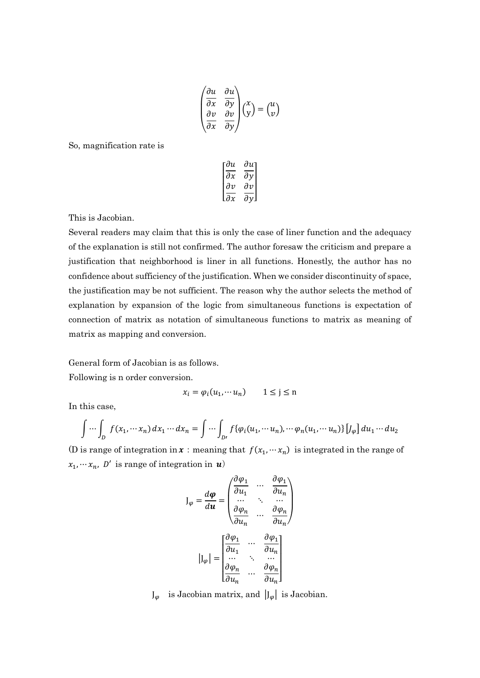$$
\begin{pmatrix}\n\frac{\partial u}{\partial x} & \frac{\partial u}{\partial y} \\
\frac{\partial v}{\partial x} & \frac{\partial v}{\partial y}\n\end{pmatrix}\n\begin{pmatrix}\nx \\
y\n\end{pmatrix} = \begin{pmatrix}\nu \\
v\n\end{pmatrix}
$$

So, magnification rate is

$$
\begin{bmatrix}\n\frac{\partial u}{\partial x} & \frac{\partial u}{\partial y} \\
\frac{\partial v}{\partial x} & \frac{\partial v}{\partial y}\n\end{bmatrix}
$$

This is Jacobian.

Several readers may claim that this is only the case of liner function and the adequacy of the explanation is still not confirmed. The author foresaw the criticism and prepare a justification that neighborhood is liner in all functions. Honestly, the author has no confidence about sufficiency of the justification. When we consider discontinuity of space, the justification may be not sufficient. The reason why the author selects the method of explanation by expansion of the logic from simultaneous functions is expectation of connection of matrix as notation of simultaneous functions to matrix as meaning of matrix as mapping and conversion.

General form of Jacobian is as follows.

Following is n order conversion.

$$
x_i = \varphi_i(u_1, \cdots u_n) \qquad 1 \le j \le n
$$

In this case,

$$
\int \cdots \int_D f(x_1, \cdots x_n) dx_1 \cdots dx_n = \int \cdots \int_{D'} f\{\varphi_i(u_1, \cdots u_n), \cdots \varphi_n(u_1, \cdots u_n)\} [J_{\varphi}] du_1 \cdots du_2
$$

(D is range of integration in  $x$ : meaning that  $f(x_1, \dots, x_n)$  is integrated in the range of  $x_1, \dots, x_n$ , D' is range of integration in  $\mathbf{u}$ )

$$
J_{\varphi} = \frac{d\varphi}{d\boldsymbol{u}} = \begin{pmatrix} \frac{\partial \varphi_1}{\partial u_1} & \cdots & \frac{\partial \varphi_1}{\partial u_n} \\ \vdots & \ddots & \ddots & \vdots \\ \frac{\partial \varphi_n}{\partial u_n} & \cdots & \frac{\partial \varphi_n}{\partial u_n} \end{pmatrix}
$$

$$
|J_{\varphi}| = \begin{bmatrix} \frac{\partial \varphi_1}{\partial u_1} & \cdots & \frac{\partial \varphi_1}{\partial u_n} \\ \vdots & \ddots & \vdots & \vdots \\ \frac{\partial \varphi_n}{\partial u_n} & \cdots & \frac{\partial \varphi_n}{\partial u_n} \end{bmatrix}
$$

 $J_{\varphi}$  is Jacobian matrix, and  $|J_{\varphi}|$  is Jacobian.